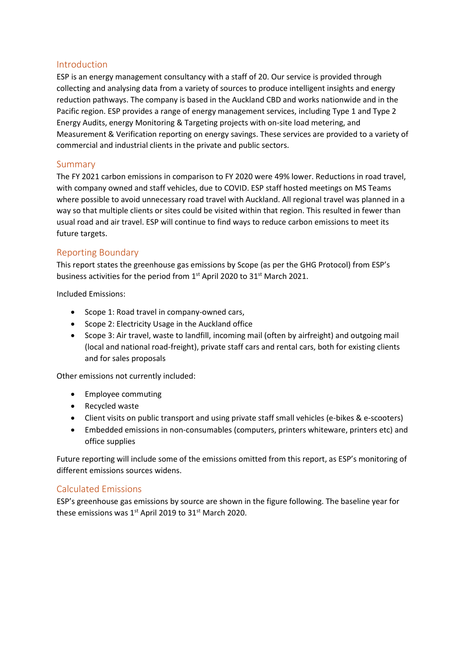## Introduction

ESP is an energy management consultancy with a staff of 20. Our service is provided through collecting and analysing data from a variety of sources to produce intelligent insights and energy reduction pathways. The company is based in the Auckland CBD and works nationwide and in the Pacific region. ESP provides a range of energy management services, including Type 1 and Type 2 Energy Audits, energy Monitoring & Targeting projects with on-site load metering, and Measurement & Verification reporting on energy savings. These services are provided to a variety of commercial and industrial clients in the private and public sectors.

## Summary

The FY 2021 carbon emissions in comparison to FY 2020 were 49% lower. Reductions in road travel, with company owned and staff vehicles, due to COVID. ESP staff hosted meetings on MS Teams where possible to avoid unnecessary road travel with Auckland. All regional travel was planned in a way so that multiple clients or sites could be visited within that region. This resulted in fewer than usual road and air travel. ESP will continue to find ways to reduce carbon emissions to meet its future targets.

## Reporting Boundary

This report states the greenhouse gas emissions by Scope (as per the GHG Protocol) from ESP's business activities for the period from 1<sup>st</sup> April 2020 to 31<sup>st</sup> March 2021.

Included Emissions:

- Scope 1: Road travel in company-owned cars,
- Scope 2: Electricity Usage in the Auckland office
- Scope 3: Air travel, waste to landfill, incoming mail (often by airfreight) and outgoing mail (local and national road-freight), private staff cars and rental cars, both for existing clients and for sales proposals

Other emissions not currently included:

- Employee commuting
- Recycled waste
- Client visits on public transport and using private staff small vehicles (e-bikes & e-scooters)
- Embedded emissions in non-consumables (computers, printers whiteware, printers etc) and office supplies

Future reporting will include some of the emissions omitted from this report, as ESP's monitoring of different emissions sources widens.

## Calculated Emissions

ESP's greenhouse gas emissions by source are shown in the figure following. The baseline year for these emissions was  $1<sup>st</sup>$  April 2019 to 31 $<sup>st</sup>$  March 2020.</sup>